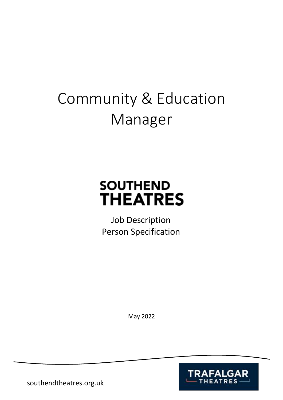# Community & Education Manager

# **SOUTHEND THEATRES**

Job Description Person Specification

May 2022



southendtheatres.org.uk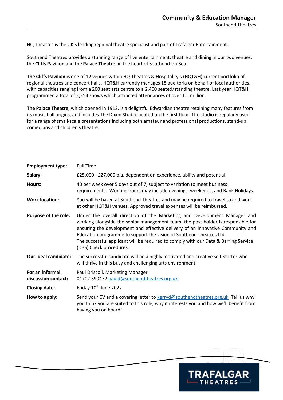HQ Theatres is the UK's leading regional theatre specialist and part of Trafalgar Entertainment.

Southend Theatres provides a stunning range of live entertainment, theatre and dining in our two venues, the **Cliffs Pavilion** and the **Palace Theatre**, in the heart of Southend-on-Sea.

**The Cliffs Pavilion** is one of 12 venues within HQ Theatres & Hospitality's (HQT&H) current portfolio of regional theatres and concert halls. HQT&H currently manages 18 auditoria on behalf of local authorities, with capacities ranging from a 200 seat arts centre to a 2,400 seated/standing theatre. Last year HQT&H programmed a total of 2,354 shows which attracted attendances of over 1.5 million.

**The Palace Theatre**, which opened in 1912, is a delightful Edwardian theatre retaining many features from its music hall origins, and includes The Dixon Studio located on the first floor. The studio is regularly used for a range of small-scale presentations including both amateur and professional productions, stand-up comedians and children's theatre.

| <b>Employment type:</b>                | <b>Full Time</b>                                                                                                                                                                                                                                                                                                                                                                                                                        |
|----------------------------------------|-----------------------------------------------------------------------------------------------------------------------------------------------------------------------------------------------------------------------------------------------------------------------------------------------------------------------------------------------------------------------------------------------------------------------------------------|
| Salary:                                | £25,000 - £27,000 p.a. dependent on experience, ability and potential                                                                                                                                                                                                                                                                                                                                                                   |
| Hours:                                 | 40 per week over 5 days out of 7, subject to variation to meet business<br>requirements. Working hours may include evenings, weekends, and Bank Holidays.                                                                                                                                                                                                                                                                               |
| <b>Work location:</b>                  | You will be based at Southend Theatres and may be required to travel to and work<br>at other HQT&H venues. Approved travel expenses will be reimbursed.                                                                                                                                                                                                                                                                                 |
| <b>Purpose of the role:</b>            | Under the overall direction of the Marketing and Development Manager and<br>working alongside the senior management team, the post holder is responsible for<br>ensuring the development and effective delivery of an innovative Community and<br>Education programme to support the vision of Southend Theatres Ltd.<br>The successful applicant will be required to comply with our Data & Barring Service<br>(DBS) Check procedures. |
| Our ideal candidate:                   | The successful candidate will be a highly motivated and creative self-starter who<br>will thrive in this busy and challenging arts environment.                                                                                                                                                                                                                                                                                         |
| For an informal<br>discussion contact: | Paul Driscoll, Marketing Manager<br>01702 390472 pauld@southendtheatres.org.uk                                                                                                                                                                                                                                                                                                                                                          |
| <b>Closing date:</b>                   | Friday 10 <sup>th</sup> June 2022                                                                                                                                                                                                                                                                                                                                                                                                       |
| How to apply:                          | Send your CV and a covering letter to kerryd@southendtheatres.org.uk. Tell us why<br>you think you are suited to this role, why it interests you and how we'll benefit from<br>having you on board!                                                                                                                                                                                                                                     |

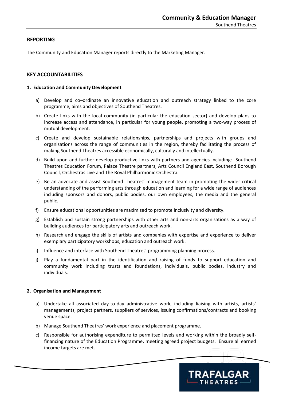# **REPORTING**

The Community and Education Manager reports directly to the Marketing Manager.

# **KEY ACCOUNTABILITIES**

#### **1. Education and Community Development**

- a) Develop and co–ordinate an innovative education and outreach strategy linked to the core programme, aims and objectives of Southend Theatres.
- b) Create links with the local community (in particular the education sector) and develop plans to increase access and attendance, in particular for young people, promoting a two-way process of mutual development.
- c) Create and develop sustainable relationships, partnerships and projects with groups and organisations across the range of communities in the region, thereby facilitating the process of making Southend Theatres accessible economically, culturally and intellectually.
- d) Build upon and further develop productive links with partners and agencies including: Southend Theatres Education Forum, Palace Theatre partners, Arts Council England East, Southend Borough Council, Orchestras Live and The Royal Philharmonic Orchestra.
- e) Be an advocate and assist Southend Theatres' management team in promoting the wider critical understanding of the performing arts through education and learning for a wide range of audiences including sponsors and donors, public bodies, our own employees, the media and the general public.
- f) Ensure educational opportunities are maximised to promote inclusivity and diversity.
- g) Establish and sustain strong partnerships with other arts and non-arts organisations as a way of building audiences for participatory arts and outreach work.
- h) Research and engage the skills of artists and companies with expertise and experience to deliver exemplary participatory workshops, education and outreach work.
- i) Influence and interface with Southend Theatres' programming planning process.
- j) Play a fundamental part in the identification and raising of funds to support education and community work including trusts and foundations, individuals, public bodies, industry and individuals.

#### **2. Organisation and Management**

- a) Undertake all associated day-to-day administrative work, including liaising with artists, artists' managements, project partners, suppliers of services, issuing confirmations/contracts and booking venue space.
- b) Manage Southend Theatres' work experience and placement programme.
- c) Responsible for authorising expenditure to permitted levels and working within the broadly selffinancing nature of the Education Programme, meeting agreed project budgets. Ensure all earned income targets are met.

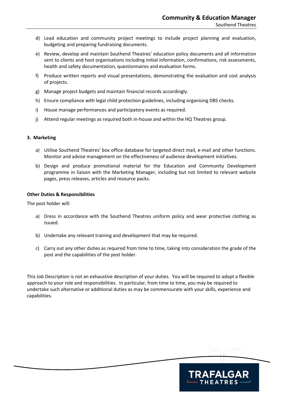- d) Lead education and community project meetings to include project planning and evaluation, budgeting and preparing fundraising documents.
- e) Review, develop and maintain Southend Theatres' education policy documents and all information sent to clients and host organisations including initial information, confirmations, risk assessments, health and safety documentation, questionnaires and evaluation forms.
- f) Produce written reports and visual presentations, demonstrating the evaluation and cost analysis of projects.
- g) Manage project budgets and maintain financial records accordingly.
- h) Ensure compliance with legal child protection guidelines, including organising DBS checks.
- i) House manage performances and participatory events as required.
- j) Attend regular meetings as required both in-house and within the HQ Theatres group.

#### **3. Marketing**

- a) Utilise Southend Theatres' box office database for targeted direct mail, e-mail and other functions. Monitor and advise management on the effectiveness of audience development initiatives.
- b) Design and produce promotional material for the Education and Community Development programme in liaison with the Marketing Manager, including but not limited to relevant website pages, press releases, articles and resource packs.

#### **Other Duties & Responsibilities**

The post holder will:

- a) Dress in accordance with the Southend Theatres uniform policy and wear protective clothing as issued.
- b) Undertake any relevant training and development that may be required.
- c) Carry out any other duties as required from time to time, taking into consideration the grade of the post and the capabilities of the post holder.

This Job Description is not an exhaustive description of your duties. You will be required to adopt a flexible approach to your role and responsibilities. In particular, from time to time, you may be required to undertake such alternative or additional duties as may be commensurate with your skills, experience and capabilities.